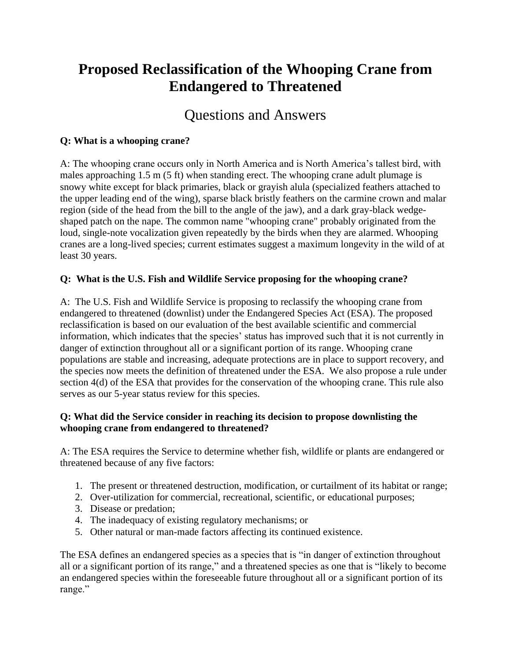# **Proposed Reclassification of the Whooping Crane from Endangered to Threatened**

# Questions and Answers

## **Q: What is a whooping crane?**

A: The whooping crane occurs only in North America and is North America's tallest bird, with males approaching 1.5 m (5 ft) when standing erect. The whooping crane adult plumage is snowy white except for black primaries, black or grayish alula (specialized feathers attached to the upper leading end of the wing), sparse black bristly feathers on the carmine crown and malar region (side of the head from the bill to the angle of the jaw), and a dark gray-black wedgeshaped patch on the nape. The common name "whooping crane" probably originated from the loud, single-note vocalization given repeatedly by the birds when they are alarmed. Whooping cranes are a long-lived species; current estimates suggest a maximum longevity in the wild of at least 30 years.

# **Q: What is the U.S. Fish and Wildlife Service proposing for the whooping crane?**

A: The U.S. Fish and Wildlife Service is proposing to reclassify the whooping crane from endangered to threatened (downlist) under the Endangered Species Act (ESA). The proposed reclassification is based on our evaluation of the best available scientific and commercial information, which indicates that the species' status has improved such that it is not currently in danger of extinction throughout all or a significant portion of its range. Whooping crane populations are stable and increasing, adequate protections are in place to support recovery, and the species now meets the definition of threatened under the ESA. We also propose a rule under section 4(d) of the ESA that provides for the conservation of the whooping crane. This rule also serves as our 5-year status review for this species.

## **Q: What did the Service consider in reaching its decision to propose downlisting the whooping crane from endangered to threatened?**

A: The ESA requires the Service to determine whether fish, wildlife or plants are endangered or threatened because of any five factors:

- 1. The present or threatened destruction, modification, or curtailment of its habitat or range;
- 2. Over-utilization for commercial, recreational, scientific, or educational purposes;
- 3. Disease or predation;
- 4. The inadequacy of existing regulatory mechanisms; or
- 5. Other natural or man-made factors affecting its continued existence.

The ESA defines an endangered species as a species that is "in danger of extinction throughout all or a significant portion of its range," and a threatened species as one that is "likely to become an endangered species within the foreseeable future throughout all or a significant portion of its range."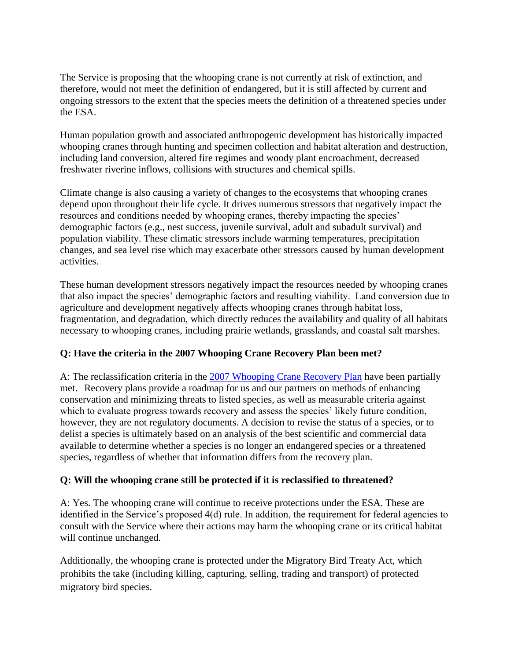The Service is proposing that the whooping crane is not currently at risk of extinction, and therefore, would not meet the definition of endangered, but it is still affected by current and ongoing stressors to the extent that the species meets the definition of a threatened species under the ESA.

Human population growth and associated anthropogenic development has historically impacted whooping cranes through hunting and specimen collection and habitat alteration and destruction, including land conversion, altered fire regimes and woody plant encroachment, decreased freshwater riverine inflows, collisions with structures and chemical spills.

Climate change is also causing a variety of changes to the ecosystems that whooping cranes depend upon throughout their life cycle. It drives numerous stressors that negatively impact the resources and conditions needed by whooping cranes, thereby impacting the species' demographic factors (e.g., nest success, juvenile survival, adult and subadult survival) and population viability. These climatic stressors include warming temperatures, precipitation changes, and sea level rise which may exacerbate other stressors caused by human development activities.

These human development stressors negatively impact the resources needed by whooping cranes that also impact the species' demographic factors and resulting viability. Land conversion due to agriculture and development negatively affects whooping cranes through habitat loss, fragmentation, and degradation, which directly reduces the availability and quality of all habitats necessary to whooping cranes, including prairie wetlands, grasslands, and coastal salt marshes.

## **Q: Have the criteria in the 2007 Whooping Crane Recovery Plan been met?**

A: The reclassification criteria in the [2007 Whooping Crane Recovery Plan](https://www.govinfo.gov/content/pkg/FR-2007-05-29/pdf/E7-10222.pdf#page=1) have been partially met. Recovery plans provide a roadmap for us and our partners on methods of enhancing conservation and minimizing threats to listed species, as well as measurable criteria against which to evaluate progress towards recovery and assess the species' likely future condition, however, they are not regulatory documents. A decision to revise the status of a species, or to delist a species is ultimately based on an analysis of the best scientific and commercial data available to determine whether a species is no longer an endangered species or a threatened species, regardless of whether that information differs from the recovery plan.

#### **Q: Will the whooping crane still be protected if it is reclassified to threatened?**

A: Yes. The whooping crane will continue to receive protections under the ESA. These are identified in the Service's proposed 4(d) rule. In addition, the requirement for federal agencies to consult with the Service where their actions may harm the whooping crane or its critical habitat will continue unchanged.

Additionally, the whooping crane is protected under the Migratory Bird Treaty Act, which prohibits the take (including killing, capturing, selling, trading and transport) of protected migratory bird species.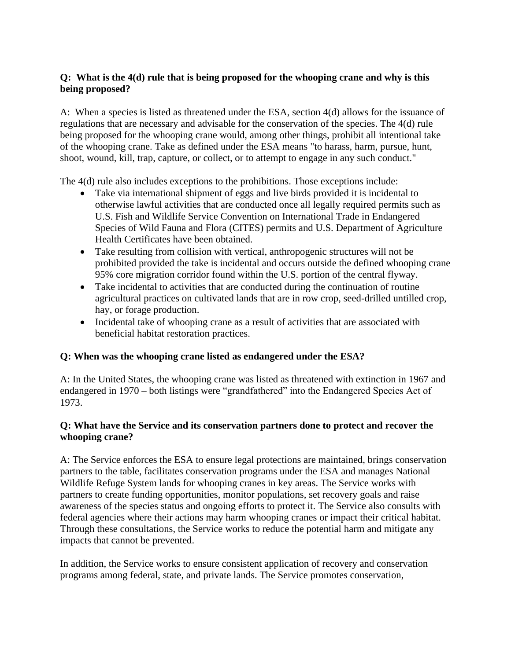## **Q: What is the 4(d) rule that is being proposed for the whooping crane and why is this being proposed?**

A: When a species is listed as threatened under the ESA, section 4(d) allows for the issuance of regulations that are necessary and advisable for the conservation of the species. The 4(d) rule being proposed for the whooping crane would, among other things, prohibit all intentional take of the whooping crane. Take as defined under the ESA means "to harass, harm, pursue, hunt, shoot, wound, kill, trap, capture, or collect, or to attempt to engage in any such conduct."

The 4(d) rule also includes exceptions to the prohibitions. Those exceptions include:

- Take via international shipment of eggs and live birds provided it is incidental to otherwise lawful activities that are conducted once all legally required permits such as U.S. Fish and Wildlife Service Convention on International Trade in Endangered Species of Wild Fauna and Flora (CITES) permits and U.S. Department of Agriculture Health Certificates have been obtained.
- Take resulting from collision with vertical, anthropogenic structures will not be prohibited provided the take is incidental and occurs outside the defined whooping crane 95% core migration corridor found within the U.S. portion of the central flyway.
- Take incidental to activities that are conducted during the continuation of routine agricultural practices on cultivated lands that are in row crop, seed-drilled untilled crop, hay, or forage production.
- Incidental take of whooping crane as a result of activities that are associated with beneficial habitat restoration practices.

#### **Q: When was the whooping crane listed as endangered under the ESA?**

A: In the United States, the whooping crane was listed as threatened with extinction in 1967 and endangered in 1970 – both listings were "grandfathered" into the Endangered Species Act of 1973.

#### **Q: What have the Service and its conservation partners done to protect and recover the whooping crane?**

A: The Service enforces the ESA to ensure legal protections are maintained, brings conservation partners to the table, facilitates conservation programs under the ESA and manages National Wildlife Refuge System lands for whooping cranes in key areas. The Service works with partners to create funding opportunities, monitor populations, set recovery goals and raise awareness of the species status and ongoing efforts to protect it. The Service also consults with federal agencies where their actions may harm whooping cranes or impact their critical habitat. Through these consultations, the Service works to reduce the potential harm and mitigate any impacts that cannot be prevented.

In addition, the Service works to ensure consistent application of recovery and conservation programs among federal, state, and private lands. The Service promotes conservation,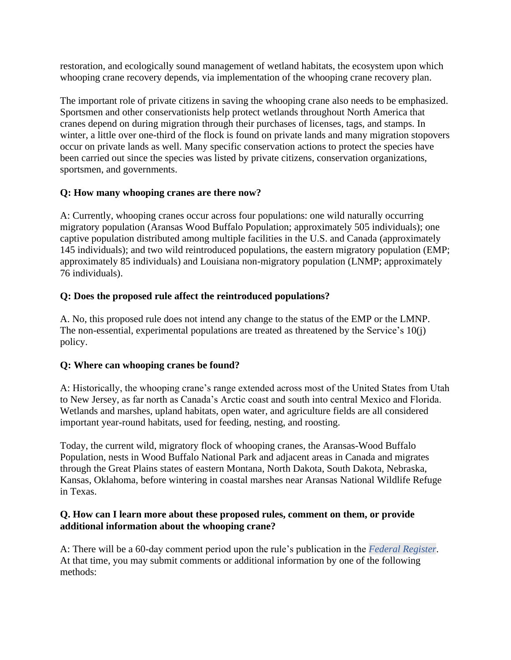restoration, and ecologically sound management of wetland habitats, the ecosystem upon which whooping crane recovery depends, via implementation of the whooping crane recovery plan.

The important role of private citizens in saving the whooping crane also needs to be emphasized. Sportsmen and other conservationists help protect wetlands throughout North America that cranes depend on during migration through their purchases of licenses, tags, and stamps. In winter, a little over one-third of the flock is found on private lands and many migration stopovers occur on private lands as well. Many specific conservation actions to protect the species have been carried out since the species was listed by private citizens, conservation organizations, sportsmen, and governments.

## **Q: How many whooping cranes are there now?**

A: Currently, whooping cranes occur across four populations: one wild naturally occurring migratory population (Aransas Wood Buffalo Population; approximately 505 individuals); one captive population distributed among multiple facilities in the U.S. and Canada (approximately 145 individuals); and two wild reintroduced populations, the eastern migratory population (EMP; approximately 85 individuals) and Louisiana non-migratory population (LNMP; approximately 76 individuals).

## **Q: Does the proposed rule affect the reintroduced populations?**

A. No, this proposed rule does not intend any change to the status of the EMP or the LMNP. The non-essential, experimental populations are treated as threatened by the Service's 10(j) policy.

#### **Q: Where can whooping cranes be found?**

A: Historically, the whooping crane's range extended across most of the United States from Utah to New Jersey, as far north as Canada's Arctic coast and south into central Mexico and Florida. Wetlands and marshes, upland habitats, open water, and agriculture fields are all considered important year-round habitats, used for feeding, nesting, and roosting.

Today, the current wild, migratory flock of whooping cranes, the Aransas-Wood Buffalo Population, nests in Wood Buffalo National Park and adjacent areas in Canada and migrates through the Great Plains states of eastern Montana, North Dakota, South Dakota, Nebraska, Kansas, Oklahoma, before wintering in coastal marshes near Aransas National Wildlife Refuge in Texas.

#### **Q. How can I learn more about these proposed rules, comment on them, or provide additional information about the whooping crane?**

A: There will be a 60-day comment period upon the rule's publication in the *Federal Register*. At that time, you may submit comments or additional information by one of the following methods: